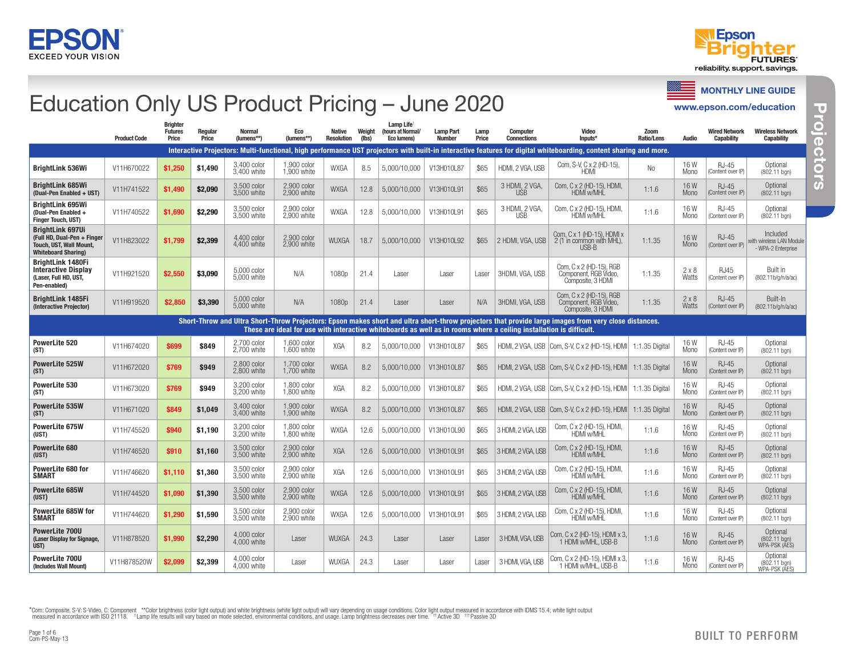



# Education Only US Product Pricing – June 2020

MONTHLY LINE GUIDE

www.epson.com/education

Projectors **Projectors Projectors**

|                                                                                                                       | <b>Product Code</b> | <b>Brighter</b><br><b>Futures</b><br>Price | Regular<br>Price | <b>Normal</b><br>(lumens**) | Eco<br>(lumens**)            | <b>Native</b><br><b>Resolution</b> | Weight<br>(lbs) | Lamp Life <sup>+</sup><br>(hours at Normal/<br>Eco lumens) | <b>Lamp Part</b><br>Number | Lamp<br>Price | <b>Computer</b><br><b>Connections</b>                                                                               | Video<br>Inputs*                                                                                                                                                  | Zoom<br><b>Ratio/Lens</b> | <b>Audio</b>       | <b>Wired Network</b><br>Capability | <b>Wireless Network</b><br><b>Capability</b>               |
|-----------------------------------------------------------------------------------------------------------------------|---------------------|--------------------------------------------|------------------|-----------------------------|------------------------------|------------------------------------|-----------------|------------------------------------------------------------|----------------------------|---------------|---------------------------------------------------------------------------------------------------------------------|-------------------------------------------------------------------------------------------------------------------------------------------------------------------|---------------------------|--------------------|------------------------------------|------------------------------------------------------------|
|                                                                                                                       |                     |                                            |                  |                             |                              |                                    |                 |                                                            |                            |               |                                                                                                                     | Interactive Proiectors: Multi-functional, high performance UST proiectors with built-in interactive features for digital whiteboarding, content sharing and more, |                           |                    |                                    |                                                            |
| <b>BrightLink 536Wi</b>                                                                                               | V11H670022          | \$1,250                                    | \$1,490          | 3.400 color<br>3.400 white  | 1.900 color<br>1.900 white   | <b>WXGA</b>                        | 8.5             | 5,000/10,000                                               | V13H010L87                 | \$65          | HDMI, 2 VGA, USB                                                                                                    | Com, S-V, C x 2 (HD-15),<br>HDMI                                                                                                                                  | N <sub>o</sub>            | 16W<br>Mono        | <b>RJ-45</b><br>(Content over IP)  | Optional<br>(802.11 ban)                                   |
| <b>BrightLink 685Wi</b><br>(Dual-Pen Enabled + UST)                                                                   | V11H741522          | \$1,490                                    | \$2,090          | 3.500 color<br>3.500 white  | 2.900 color<br>2.900 white   | <b>WXGA</b>                        | 12.8            | 5,000/10,000                                               | V13H010L91                 | \$65          | 3 HDMI, 2 VGA<br><b>USB</b>                                                                                         | Com. C x 2 (HD-15). HDMI.<br><b>HDMI w/MHL</b>                                                                                                                    | 1:1.6                     | 16W<br>Mono        | <b>RJ-45</b><br>(Content over IP)  | Optional<br>(802.11 ban)                                   |
| <b>BrightLink 695Wi</b><br>(Dual-Pen Enabled +<br><b>Finger Touch, UST)</b>                                           | V11H740522          | \$1,690                                    | \$2,290          | 3,500 color<br>3,500 white  | 2,900 color<br>2.900 white   | <b>WXGA</b>                        | 12.8            | 5,000/10,000                                               | V13H010L91                 | \$65          | 3 HDMI, 2 VGA,<br>USB                                                                                               | Com. C x 2 (HD-15). HDMI.<br>HDMÍ w/MHL                                                                                                                           | 1:1.6                     | 16 W<br>Mono       | <b>RJ-45</b><br>(Content over IP)  | Optional<br>(802.11 ban)                                   |
| <b>BrightLink 697Ui</b><br>(Full HD, Dual-Pen + Finger<br><b>Touch, UST, Wall Mount</b><br><b>Whiteboard Sharing)</b> | V11H823022          | \$1.799                                    | \$2.399          | 4.400 color<br>4.400 white  | 2,900 color<br>2.900 white   | <b>WUXGA</b>                       | 18.7            | 5.000/10.000                                               | V13H010L92                 | \$65          | 2 HDMI, VGA, USB                                                                                                    | Com. C x 1 (HD-15). HDMI x<br>2 (1 in common with MHL).<br>USB-B                                                                                                  | 1:1.35                    | 16W<br>Mono        | <b>RJ-45</b><br>(Content over IP)  | Included<br>with wireless LAN Module<br>- WPA-2 Enterprise |
| <b>BrightLink 1480Fi</b><br><b>Interactive Display</b><br>(Laser, Full HD, UST,<br>Pen-enabled)                       | V11H921520          | \$2,550                                    | \$3,090          | 5.000 color<br>5.000 white  | N/A                          | 1080 <sub>p</sub>                  | 21.4            | Laser                                                      | Laser                      | Laser         | 3HDMI, VGA, USB                                                                                                     | Com, C x 2 (HD-15), RGB<br>Component. RGB Video.<br>Composite, 3 HDMI                                                                                             | 1:1.35                    | 2x8<br>Watts       | <b>RJ45</b><br>(Content over IP)   | <b>Built in</b><br>(802.11b/g/n/a/ac)                      |
| <b>BrightLink 1485Fi</b><br>(Interactive Projector)                                                                   | V11H919520          | \$2,850                                    | \$3,390          | 5,000 color<br>5.000 white  | N/A                          | 1080p                              | 21.4            | Laser                                                      | Laser                      | N/A           | 3HDMI, VGA, USB                                                                                                     | Com. C x 2 (HD-15). RGB<br>Component, RGB Video,<br>Composite, 3 HDMI                                                                                             | 1:1.35                    | 2x8<br>Watts       | <b>RJ-45</b><br>(Content over IP)  | Built-In<br>(802.11b/g/n/a/ac)                             |
|                                                                                                                       |                     |                                            |                  |                             |                              |                                    |                 |                                                            |                            |               | These are ideal for use with interactive whiteboards as well as in rooms where a ceiling installation is difficult. | Short-Throw and Ultra Short-Throw Projectors: Epson makes short and ultra short-throw projectors that provide large images from very close distances.             |                           |                    |                                    |                                                            |
| PowerLite 520<br>(ST)                                                                                                 | V11H674020          | \$699                                      | \$849            | 2.700 color<br>2.700 white  | 1.600 color<br>$1.600$ white | XGA                                | 8.2             | 5,000/10,000                                               | V13H010L87                 | \$65          |                                                                                                                     | HDMI, 2 VGA, USB   Com, S-V, C x 2 (HD-15), HDMI   1:1.35 Digital                                                                                                 |                           | 16 W<br>Mono       | <b>RJ-45</b><br>(Content over IP)  | Optional<br>(802.11 bgn)                                   |
| PowerLite 525W<br>(ST)                                                                                                | V11H672020          | \$769                                      | \$949            | 2.800 color<br>2.800 white  | 1.700 color<br>$1.700$ white | <b>WXGA</b>                        | 8.2             | 5,000/10,000                                               | V13H010L87                 | \$65          |                                                                                                                     | HDMI, 2 VGA, USB   Com, S-V, C x 2 (HD-15), HDMI   1:1.35 Digital                                                                                                 |                           | 16W<br>Mono        | RJ-45<br>(Content over IP)         | Optional<br>(802.11 bgn)                                   |
| PowerLite 530<br>(ST)                                                                                                 | V11H673020          | \$769                                      | \$949            | 3.200 color<br>3.200 white  | 1.800 color<br>1,800 white   | XGA                                | 8.2             | 5,000/10,000                                               | V13H010L87                 | \$65          |                                                                                                                     | HDMI, 2 VGA, USB   Com, S-V, C x 2 (HD-15), HDMI   1:1.35 Digital                                                                                                 |                           | 16 W<br>Mono       | RJ-45<br>(Content over IP)         | Optional<br>(802.11 bgn)                                   |
| PowerLite 535W<br>(ST)                                                                                                | V11H671020          | \$849                                      | \$1,049          | 3.400 color<br>3.400 white  | 1.900 color<br>1.900 white   | <b>WXGA</b>                        | 8.2             | 5,000/10,000                                               | V13H010L87                 | \$65          |                                                                                                                     | HDMI, 2 VGA, USB   Com, S-V, C x 2 (HD-15), HDMI   1:1.35 Digital                                                                                                 |                           | 16W<br><b>Mono</b> | $RJ-45$<br>(Content over IP)       | Optional<br>(802.11 bgn)                                   |
| PowerLite 675W<br>(UST)                                                                                               | V11H745520          | \$940                                      | \$1,190          | 3.200 color<br>3.200 white  | 1.800 color<br>1.800 white   | <b>WXGA</b>                        | 12.6            | 5,000/10,000                                               | V13H010L90                 | \$65          | 3 HDMI, 2 VGA, USB                                                                                                  | Com. C x 2 (HD-15). HDMI.<br>HDMI w/MHL                                                                                                                           | 1:1.6                     | 16W<br>Mono        | RJ-45<br>(Content over IP)         | Optional<br>(802.11 ban)                                   |
| <b>PowerLite 680</b><br>(UST)                                                                                         | V11H746520          | \$910                                      | \$1,160          | 3.500 color<br>3.500 white  | 2.900 color<br>2.900 white   | <b>XGA</b>                         | 12.6            | 5,000/10,000                                               | V13H010L91                 | \$65          | 3 HDMI, 2 VGA, USB                                                                                                  | Com. C x 2 (HD-15). HDMI.<br>HDMI w/MHL                                                                                                                           | 1:1.6                     | 16W<br>Mono        | RJ-45<br>(Content over IP)         | Optional<br>(802.11 bgn)                                   |
| PowerLite 680 for<br><b>SMART</b>                                                                                     | V11H746620          | \$1,110                                    | \$1,360          | 3.500 color<br>3.500 white  | 2.900 color<br>2,900 white   | XGA                                | 12.6            | 5,000/10,000                                               | V13H010L91                 | \$65          | 3 HDMI, 2 VGA, USB                                                                                                  | Com, C x 2 (HD-15), HDMI,<br>HDMÍ w/MHĽ                                                                                                                           | 1:1.6                     | 16W<br>Mono        | <b>RJ-45</b><br>(Content over IP)  | Optional<br>(802.11 bgn)                                   |
| <b>PowerLite 685W</b><br>(UST)                                                                                        | V11H744520          | \$1,090                                    | \$1,390          | 3.500 color<br>3.500 white  | 2.900 color<br>2.900 white   | <b>WXGA</b>                        | 12.6            | 5,000/10,000                                               | V13H010L91                 | \$65          | 3 HDMI, 2 VGA, USB                                                                                                  | Com, C x 2 (HD-15), HDMI,<br>HDMI w/MHI                                                                                                                           | 1:1.6                     | 16W<br><b>Mono</b> | RJ-45<br>(Content over IP)         | Optional<br>(802.11 bgn)                                   |
| PowerLite 685W for<br><b>SMART</b>                                                                                    | V11H744620          | \$1,290                                    | \$1,590          | 3.500 color<br>3.500 white  | 2.900 color<br>2.900 white   | <b>WXGA</b>                        | 12.6            | 5,000/10,000                                               | V13H010L91                 | \$65          | 3 HDMI, 2 VGA, USB                                                                                                  | Com. C x 2 (HD-15). HDMI.<br>HDMI w/MHL                                                                                                                           | 1:1.6                     | 16W<br>Mono        | RJ-45<br>(Content over IP)         | Optional<br>(802.11 ban)                                   |
| <b>PowerLite 700U</b><br>(Laser Display for Signage,<br><b>UST)</b>                                                   | V11H878520          | \$1,990                                    | \$2.290          | 4.000 color<br>4.000 white  | Laser                        | <b>WUXGA</b>                       | 24.3            | Laser                                                      | Laser                      | Laser         | 3 HDMI, VGA, USB                                                                                                    | Com. C x 2 (HD-15). HDMI x 3.<br>1 HDMI w/MHL, USB-B                                                                                                              | 1:1.6                     | 16W<br><b>Mono</b> | $RJ-45$<br>(Content over IP)       | Optional<br>$(802.11$ ban)<br>WPA-PSK (AES)                |
| PowerLite 700U<br>(Includes Wall Mount)                                                                               | V11H878520W         | \$2,099                                    | \$2,399          | 4,000 color<br>4.000 white  | Laser                        | <b>WUXGA</b>                       | 24.3            | Laser                                                      | Laser                      | Laser         | 3 HDMI, VGA, USB                                                                                                    | Com, C x 2 (HD-15), HDMI x 3,<br>1 HDMI w/MHL, USB-B                                                                                                              | 1:1.6                     | 16W<br>Mono        | <b>RJ-45</b><br>(Content over IP)  | Optional<br>(802.11 ban)<br>WPA-PSK (ĀES)                  |

\*Com: Composite, S-V: S-Video, C: Component \*\*Color brightness (color light output) and white brightness (white light output) will vary depending on usage conditions. Color light output measured in accordance with IDMS 15.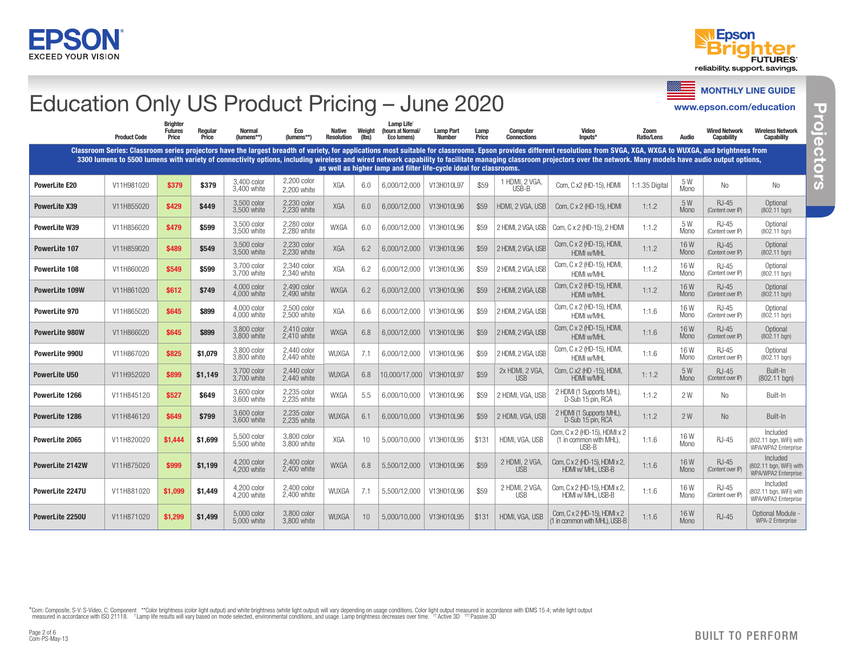



**Projectors**

Projectors

**Projectors**

### www.epson.com/education Education Only US Product Pricing – June 2020

Ξ MONTHLY LINE GUIDE

|                       | <b>Product Code</b> | <b>Brighter</b><br><b>Futures</b><br>Price | Regular<br>Price | <b>Normal</b><br>(lumens**) | Eco<br>(lumens**)          | <b>Native</b><br><b>Resolution</b> | Weight<br>(lbs) | Lamp Life <sup>+</sup><br>(hours at Normal/<br>Eco lumens)         | <b>Lamp Part</b><br><b>Number</b> | Lamp<br>Price | <b>Computer</b><br><b>Connections</b> | Video<br>Inputs*                                                                                                                                                                                                                                                                                                                                                                                                                                   | Zoom<br><b>Ratio/Lens</b> | <b>Audio</b>       | <b>Wired Network</b><br><b>Capability</b> | <b>Wireless Network</b><br><b>Capability</b>               |
|-----------------------|---------------------|--------------------------------------------|------------------|-----------------------------|----------------------------|------------------------------------|-----------------|--------------------------------------------------------------------|-----------------------------------|---------------|---------------------------------------|----------------------------------------------------------------------------------------------------------------------------------------------------------------------------------------------------------------------------------------------------------------------------------------------------------------------------------------------------------------------------------------------------------------------------------------------------|---------------------------|--------------------|-------------------------------------------|------------------------------------------------------------|
|                       |                     |                                            |                  |                             |                            |                                    |                 | as well as higher lamp and filter life-cycle ideal for classrooms. |                                   |               |                                       | Classroom Series: Classroom series projectors have the largest breadth of variety, for applications most suitable for classrooms. Epson provides different resolutions from SVGA, XGA, WXGA to WUXGA, and brightness from<br>3300 lumens to 5500 lumens with variety of connectivity options, including wireless and wired network capability to facilitate managing classroom projectors over the network. Many models have audio output options, |                           |                    |                                           |                                                            |
| <b>PowerLite E20</b>  | V11H981020          | \$379                                      | \$379            | 3.400 color<br>3,400 white  | 2,200 color<br>2.200 white | XGA                                | 6.0             | 6,000/12,000                                                       | V13H010L97                        | \$59          | 1 HDMI, 2 VGA,<br>USB-B               | Com, C x2 (HD-15), HDMI                                                                                                                                                                                                                                                                                                                                                                                                                            | 1:1.35 Digital            | 5W<br><b>Mono</b>  | No                                        | No.                                                        |
| <b>PowerLite X39</b>  | V11H855020          | \$429                                      | \$449            | 3,500 color<br>3.500 white  | 2,230 color<br>2.230 white | XGA                                | 6.0             | 6.000/12.000                                                       | V13H010L96                        | \$59          | HDMI. 2 VGA. USB                      | Com, C x 2 (HD-15), HDMI                                                                                                                                                                                                                                                                                                                                                                                                                           | 1:1.2                     | 5W<br>Mono         | <b>RJ-45</b><br>(Content over IP)         | Optional<br>(802.11 ban)                                   |
| PowerLite W39         | V11H856020          | \$479                                      | \$599            | 3.500 color<br>3.500 white  | 2.280 color<br>2.280 white | <b>WXGA</b>                        | 6.0             | 6,000/12,000                                                       | V13H010L96                        | \$59          | 2 HDMI, 2 VGA, USB                    | Com, C x 2 (HD-15), 2 HDMI                                                                                                                                                                                                                                                                                                                                                                                                                         | 1:1.2                     | 5 W<br>Mono        | RJ-45<br>(Content over IP)                | Optional<br>(802.11 ban)                                   |
| <b>PowerLite 107</b>  | V11H859020          | \$489                                      | \$549            | 3,500 color<br>3,500 white  | 2,230 color<br>2.230 white | <b>XGA</b>                         | 6.2             | 6.000/12.000                                                       | V13H010L96                        | \$59          | 2 HDMI, 2 VGA, USB                    | Com, C x 2 (HD-15), HDMI<br>HDMI w/MHI                                                                                                                                                                                                                                                                                                                                                                                                             | 1:1.2                     | 16W<br>Mono        | <b>RJ-45</b><br>(Content over IP)         | Optional<br>$(802.11$ bgn)                                 |
| PowerLite 108         | V11H860020          | \$549                                      | \$599            | 3,700 color<br>3.700 white  | 2.340 color<br>2.340 white | XGA                                | 6.2             | 6,000/12,000                                                       | V13H010L96                        | \$59          | 2 HDMI, 2 VGA, USB                    | Com, C x 2 (HD-15), HDMI,<br>HDMI w/MHI                                                                                                                                                                                                                                                                                                                                                                                                            | 1:1.2                     | 16W<br>Mono        | <b>RJ-45</b><br>(Content over IP)         | Optional<br>(802.11 bgn)                                   |
| <b>PowerLite 109W</b> | V11H861020          | \$612                                      | \$749            | 4.000 color<br>4,000 white  | 2.490 color<br>2.490 white | <b>WXGA</b>                        | 6.2             | 6.000/12.000                                                       | V13H010L96                        | \$59          | 2 HDMI, 2 VGA, USB                    | Com, C x 2 (HD-15), HDMI,<br>HDMI w/MHI                                                                                                                                                                                                                                                                                                                                                                                                            | 1:1.2                     | 16W<br>Mono        | <b>RJ-45</b><br>(Content over IP)         | Optional<br>$(802.11$ bgn)                                 |
| PowerLite 970         | V11H865020          | \$645                                      | \$899            | 4.000 color<br>4.000 white  | 2.500 color<br>2.500 white | XGA                                | 6.6             | 6,000/12,000                                                       | V13H010L96                        | \$59          | 2 HDMI, 2 VGA, USE                    | Com, C x 2 (HD-15), HDMI,<br>HDMI w/MHI                                                                                                                                                                                                                                                                                                                                                                                                            | 1:1.6                     | 16W<br>Mono        | RJ-45<br>(Content over IP)                | Optional<br>(802.11 ban)                                   |
| <b>PowerLite 980W</b> | V11H866020          | \$645                                      | \$899            | 3.800 color<br>3,800 white  | 2.410 color<br>2,410 white | <b>WXGA</b>                        | 6.8             | 6.000/12.000                                                       | V13H010L96                        | \$59          | 2 HDMI, 2 VGA, USB                    | Com, C x 2 (HD-15), HDMI,<br>HDMI w/MHL                                                                                                                                                                                                                                                                                                                                                                                                            | 1:1.6                     | 16W<br>Mono        | $RJ-45$<br>(Content over IP)              | Optional<br>$(802.11$ bgn)                                 |
| PowerLite 990U        | V11H867020          | \$825                                      | \$1,079          | 3,800 color<br>3.800 white  | 2,440 color<br>2.440 white | WUXGA                              | 7.1             | 6,000/12,000                                                       | V13H010L96                        | \$59          | 2 HDMI, 2 VGA, USB                    | Com, C x 2 (HD-15), HDMI,<br>HDMI w/MHL                                                                                                                                                                                                                                                                                                                                                                                                            | 1:1.6                     | 16W<br>Mono        | <b>RJ-45</b><br>(Content over IP)         | Optional<br>(802.11 ban)                                   |
| <b>PowerLite U50</b>  | V11H952020          | \$899                                      | \$1,149          | 3.700 color<br>3,700 white  | 2.440 color<br>2.440 white | <b>WUXGA</b>                       | 6.8             | 10.000/17.000                                                      | V13H010L97                        | \$59          | 2x HDMI, 2 VGA,<br><b>USB</b>         | Com, C x2 (HD -15), HDMI<br>HDMI w/MHL                                                                                                                                                                                                                                                                                                                                                                                                             | 1:1.2                     | 5W<br>Mono         | $RJ-45$<br>(Content over IP)              | Built-In<br>$(802.11$ bgn)                                 |
| PowerLite 1266        | V11H845120          | \$527                                      | \$649            | 3,600 color<br>3.600 white  | 2,235 color<br>2.235 white | <b>WXGA</b>                        | 5.5             | 6,000/10,000                                                       | V13H010L96                        | \$59          | 2 HDMI, VGA, USB                      | 2 HDMI (1 Supports MHL),<br>D-Sub 15 pin, RCA                                                                                                                                                                                                                                                                                                                                                                                                      | 1:1.2                     | 2W                 | No                                        | Built-In                                                   |
| PowerLite 1286        | V11H846120          | \$649                                      | \$799            | 3.600 color<br>3.600 white  | 2.235 color<br>2.235 white | <b>WUXGA</b>                       | 6.1             | 6,000/10,000                                                       | V13H010L96                        | \$59          | 2 HDMI, VGA, USB                      | 2 HDMI (1 Supports MHL),<br>D-Sub 15 pin, RCA                                                                                                                                                                                                                                                                                                                                                                                                      | 1:1.2                     | 2W                 | No                                        | Built-In                                                   |
| PowerLite 2065        | V11H820020          | \$1,444                                    | \$1,699          | 5,500 color<br>5.500 white  | 3,800 color<br>3.800 white | XGA                                | 10              | 5.000/10.000                                                       | V13H010L95                        | \$131         | HDMI. VGA. USB                        | Com, C x 2 (HD-15), HDMI x 2<br>(1 in common with MHL).<br>USB-B                                                                                                                                                                                                                                                                                                                                                                                   | 1:1.6                     | 16W<br>Mono        | <b>RJ-45</b>                              | Included<br>(802.11 bgn, WiFi) with<br>WPA/WPA2 Enterprise |
| PowerLite 2142W       | V11H875020          | \$999                                      | \$1,199          | 4.200 color<br>4.200 white  | 2.400 color<br>2,400 white | <b>WXGA</b>                        | 6.8             | 5.500/12.000                                                       | V13H010L96                        | \$59          | 2 HDMI, 2 VGA,<br><b>USB</b>          | Com, C x 2 (HD-15), HDMI x 2,<br>HDMI w/ MHL, USB-B                                                                                                                                                                                                                                                                                                                                                                                                | 1:1.6                     | 16W<br>Mono        | <b>RJ-45</b><br>(Content over IP)         | Included<br>(802.11 bgn, WiFi) with<br>WPA/WPA2 Enterprise |
| PowerLite 2247U       | V11H881020          | \$1,099                                    | \$1,449          | 4,200 color<br>4.200 white  | 2,400 color<br>2.400 white | <b>WUXGA</b>                       | 7.1             | 5,500/12,000                                                       | V13H010L96                        | \$59          | 2 HDMI, 2 VGA,<br><b>USB</b>          | Com, C x 2 (HD-15), HDMI x 2,<br>HDMI w/ MHL, USB-B                                                                                                                                                                                                                                                                                                                                                                                                | 1:1.6                     | 16W<br><b>Mono</b> | <b>RJ-45</b><br>(Content over IP)         | Included<br>(802.11 bgn, WiFi) with<br>WPA/WPA2 Enterprise |
| PowerLite 2250U       | V11H871020          | \$1.299                                    | \$1,499          | 5.000 color<br>5,000 white  | 3.800 color<br>3,800 white | <b>WUXGA</b>                       | 10              | 5.000/10.000                                                       | V13H010L95                        | \$131         | HDMI, VGA, USB                        | Com. $Cx2$ (HD-15). HDMI $x2$<br>(1 in common with MHL), USB-B                                                                                                                                                                                                                                                                                                                                                                                     | 1:1.6                     | 16W<br>Mono        | <b>RJ-45</b>                              | Optional Module -<br>WPA-2 Enterprise                      |

\*Com: Composite, S-V: S-Video, C: Component \*\*Color brightness (color light output) and white brightness (white light output) will vary depending on usage conditions. Color light output measured in accordance with IDMS 15.

Page 2 of 6<br>Com-PS-May-13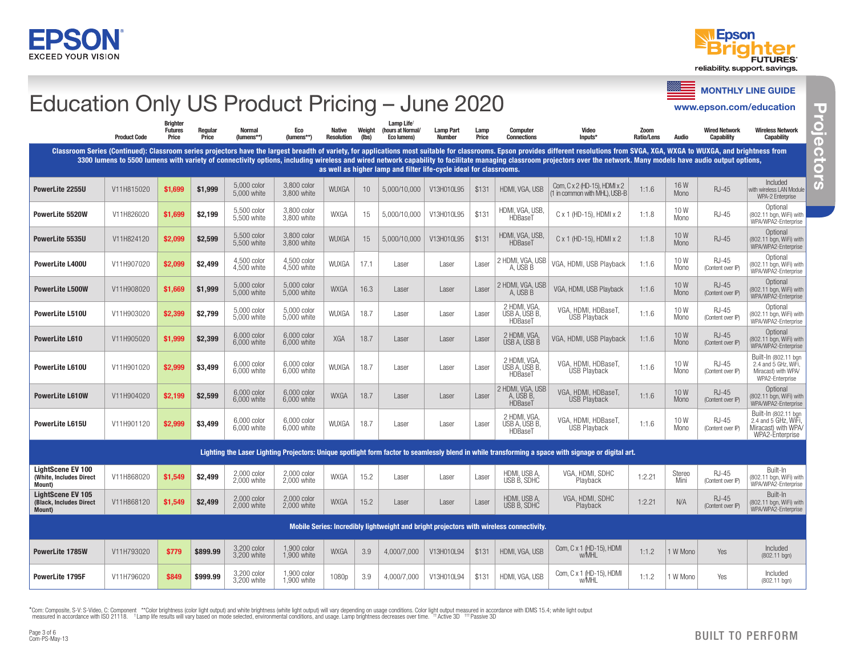



#### ≡ MONTHLY LINE GUIDE www.epson.com/education Wired Network Wireless Network Capability Capability Included with wireless LAN Module

# Education Only US Product Pricing – June 2020

| Education Only US Frought Frieing - June 2020                         |                     |                                           |                  |                             |                            |                                    |                 |                                                                    |                                   |               |                                                                                         |                                                                                                                                                                                                                                                                                                                                                                                                                                                         |                    |                |                                           | www.epson.com/education                                                                |
|-----------------------------------------------------------------------|---------------------|-------------------------------------------|------------------|-----------------------------|----------------------------|------------------------------------|-----------------|--------------------------------------------------------------------|-----------------------------------|---------------|-----------------------------------------------------------------------------------------|---------------------------------------------------------------------------------------------------------------------------------------------------------------------------------------------------------------------------------------------------------------------------------------------------------------------------------------------------------------------------------------------------------------------------------------------------------|--------------------|----------------|-------------------------------------------|----------------------------------------------------------------------------------------|
|                                                                       | <b>Product Code</b> | <b>Rrighte</b><br><b>Futures</b><br>Price | Regular<br>Price | <b>Normal</b><br>(lumens**) | Eco<br>(lumens**)          | <b>Native</b><br><b>Resolution</b> | Weight<br>(lbs) | Lamp Life<br>(hours at Normal/<br>Eco lumens)                      | <b>Lamp Part</b><br><b>Number</b> | Lamp<br>Price | <b>Computer</b><br><b>Connections</b>                                                   | Video<br>Inputs*                                                                                                                                                                                                                                                                                                                                                                                                                                        | Zoom<br>Ratio/Lens | <b>Audio</b>   | <b>Wired Network</b><br><b>Capability</b> | <b>Wireless Network</b><br><b>Capability</b>                                           |
|                                                                       |                     |                                           |                  |                             |                            |                                    |                 | as well as higher lamp and filter life-cycle ideal for classrooms. |                                   |               |                                                                                         | Classroom Series (Continued): Classroom series projectors have the largest breadth of variety, for applications most suitable for classrooms. Epson provides different resolutions from SVGA, XGA, WXGA to WUXGA, and brightne<br>3300 lumens to 5500 lumens with variety of connectivity options, including wireless and wired network capability to facilitate managing classroom projectors over the network. Many models have audio output options, |                    |                |                                           |                                                                                        |
| PowerLite 2255U                                                       | V11H815020          | \$1,699                                   | \$1,999          | 5.000 color<br>5,000 white  | 3.800 color<br>3,800 white | <b>WUXGA</b>                       | 10              | 5,000/10,000                                                       | V13H010L95                        | \$131         | HDMI, VGA, USB                                                                          | Com, C x 2 (HD-15), HDMI x 2<br>(1 in common with MHL), USB-B                                                                                                                                                                                                                                                                                                                                                                                           | 1:1.6              | 16W<br>Mono    | <b>RJ-45</b>                              | Included<br>with wireless LAN Module<br>WPA-2 Enterprise                               |
| PowerLite 5520W                                                       | V11H826020          | \$1.699                                   | \$2,199          | 5,500 color<br>5.500 white  | 3.800 color<br>3.800 white | <b>WXGA</b>                        | 15              | 5,000/10,000                                                       | V13H010L95                        | \$131         | HDMI, VGA, USB,<br>HDBaseT                                                              | C x 1 (HD-15), HDMI x 2                                                                                                                                                                                                                                                                                                                                                                                                                                 | 1:1.8              | 10W<br>Mono    | <b>RJ-45</b>                              | Optional<br>(802.11 bgn, WiFi) with<br>WPA/WPA2-Enterprise                             |
| PowerLite 5535U                                                       | V11H824120          | \$2,099                                   | \$2,599          | 5,500 color<br>5,500 white  | 3,800 color<br>3,800 white | WUXGA                              | 15              | 5,000/10,000                                                       | V13H010L95                        | \$131         | HDMI, VGA, USB,<br>HDBaseT                                                              | $C \times 1$ (HD-15), HDMI $\times 2$                                                                                                                                                                                                                                                                                                                                                                                                                   | 1:1.8              | 10W<br>Mono    | <b>RJ-45</b>                              | Optional<br>(802.11 ban. WiFi) with<br>WPA/WPA2-Enterprise                             |
| <b>PowerLite L400U</b>                                                | V11H907020          | \$2,099                                   | \$2,499          | 4,500 color<br>4,500 white  | 4,500 color<br>4,500 white | WUXGA                              | 17.1            | Laser                                                              | Laser                             | Laser         | HDMI, VGA, USB<br>A. USB B                                                              | VGA, HDMI, USB Playback                                                                                                                                                                                                                                                                                                                                                                                                                                 | 1:1.6              | 10W<br>Mono    | <b>RJ-45</b><br>(Content over IP)         | Optional<br>(802.11 bgn, WiFi) with<br>WPA/WPA2-Enterprise                             |
| <b>PowerLite L500W</b>                                                | V11H908020          | \$1,669                                   | \$1,999          | 5,000 color<br>5,000 white  | 5,000 color<br>5,000 white | <b>WXGA</b>                        | 16.3            | Laser                                                              | Laser                             | Laser         | HDMI, VGA, USB<br>A, USB B                                                              | VGA, HDMI, USB Playback                                                                                                                                                                                                                                                                                                                                                                                                                                 | 1:1.6              | 10W<br>Mono    | <b>RJ-45</b><br>(Content over IP)         | Optional<br>(802.11 bgn, WiFi) with<br>WPA/WPA2-Enterprise                             |
| PowerLite L510U                                                       | V11H903020          | \$2,399                                   | \$2,799          | 5.000 color<br>5.000 white  | 5.000 color<br>5.000 white | WUXGA                              | 18.7            | Laser                                                              | Laser                             | Laser         | 2 HDMI, VGA,<br>USB A. ÚSB B.<br>HDBaseT                                                | VGA, HDMI, HDBaseT,<br><b>USB Playback</b>                                                                                                                                                                                                                                                                                                                                                                                                              | 1:1.6              | 10W<br>Mono    | <b>RJ-45</b><br>(Content over IP)         | Optional<br>(802.11 bgn, WiFi) with<br>WPA/WPA2-Enterprise                             |
| PowerLite L610                                                        | V11H905020          | \$1.999                                   | \$2,399          | 6.000 color<br>6.000 white  | 6,000 color<br>6.000 white | <b>XGA</b>                         | 18.7            | Laser                                                              | Laser                             | Laser         | 2 HDMI, VGA,<br>USB A, ÚSB B                                                            | VGA, HDMI, USB Playback                                                                                                                                                                                                                                                                                                                                                                                                                                 | 1:1.6              | 10W<br>Mono    | <b>RJ-45</b><br>(Content over IP)         | Optional<br>(802.11 ban. WiFi) with<br>WPA/WPA2-Enterprise                             |
| <b>PowerLite L610U</b>                                                | V11H901020          | \$2,999                                   | \$3,499          | 6,000 color<br>6,000 white  | 6,000 color<br>6,000 white | WUXGA                              | 18.7            | Laser                                                              | Laser                             | Laser         | 2 HDMI. VGA.<br>USB A, USB B,<br>HDBaseT                                                | VGA, HDMI, HDBaseT,<br><b>USB Playback</b>                                                                                                                                                                                                                                                                                                                                                                                                              | 1:1.6              | 10W<br>Mono    | <b>RJ-45</b><br>(Content over IP)         | Built-In (802.11 bgn<br>2.4 and 5 GHz, WiFi,<br>Miracast) with WPA/<br>WPA2-Enterprise |
| <b>PowerLite L610W</b>                                                | V11H904020          | \$2,199                                   | \$2,599          | 6.000 color<br>6,000 white  | 6.000 color<br>6.000 white | <b>WXGA</b>                        | 18.7            | Laser                                                              | Laser                             | Laser         | 2 HDMI, VGA, USB<br>A, USB B.<br>HDBaseT                                                | VGA, HDMI, HDBaseT,<br><b>USB Playback</b>                                                                                                                                                                                                                                                                                                                                                                                                              | 1:1.6              | 10W<br>Mono    | $RJ-45$<br>(Content over IP)              | Optional<br>(802.11 bgn, WiFi) with<br>WPA/WPA2-Enterprise                             |
| <b>PowerLite L615U</b>                                                | V11H901120          | \$2,999                                   | \$3,499          | 6,000 color<br>6.000 white  | 6,000 color<br>6.000 white | <b>WUXGA</b>                       | 18.7            | Laser                                                              | Laser                             | Laser         | 2 HDMI, VGA,<br>USB A. ÜSB B.<br>HDBaseT                                                | VGA, HDMI, HDBaseT,<br><b>USB Playback</b>                                                                                                                                                                                                                                                                                                                                                                                                              | 1:1.6              | 10W<br>Mono    | <b>RJ-45</b><br>(Content over IP)         | Built-In (802.11 bgn<br>2.4 and 5 GHz, WiFi,<br>Miracast) with WPA/<br>WPA2-Enterprise |
|                                                                       |                     |                                           |                  |                             |                            |                                    |                 |                                                                    |                                   |               |                                                                                         | Lighting the Laser Lighting Projectors: Unique spotlight form factor to seamlessly blend in while transforming a space with signage or digital art.                                                                                                                                                                                                                                                                                                     |                    |                |                                           |                                                                                        |
| <b>LightScene EV 100</b><br>(White, Includes Direct<br><b>Mount</b> ) | V11H868020          | \$1,549                                   | \$2,499          | 2.000 color<br>2.000 white  | 2,000 color<br>2,000 white | WXGA                               | 15.2            | Laser                                                              | Laser                             | Laser         | HDMI, USB A,<br>USB B, SDHC                                                             | VGA, HDMI, SDHC<br>Playback                                                                                                                                                                                                                                                                                                                                                                                                                             | 1:2.21             | Stereo<br>Mini | <b>RJ-45</b><br>(Content over IP)         | Built-In<br>(802.11 bgn, WiFi) with<br>WPA/WPA2-Enterprise                             |
| <b>LightScene EV 105</b><br>(Black, Includes Direct<br>Mount)         | V11H868120          | \$1.549                                   | \$2.499          | 2.000 color<br>2.000 white  | 2.000 color<br>2.000 white | <b>WXGA</b>                        | 15.2            | Laser                                                              | Laser                             | Laser         | HDMI, USB A,<br>USB B, SDHC                                                             | VGA, HDMI, SDHC<br><b>Playback</b>                                                                                                                                                                                                                                                                                                                                                                                                                      | 1:2.21             | N/A            | <b>RJ-45</b><br>(Content over IP)         | Built-In<br>(802.11 ban. WiFi) with<br>WPA/WPA2-Enterprise                             |
|                                                                       |                     |                                           |                  |                             |                            |                                    |                 |                                                                    |                                   |               | Mobile Series: Incredibly lightweight and bright projectors with wireless connectivity. |                                                                                                                                                                                                                                                                                                                                                                                                                                                         |                    |                |                                           |                                                                                        |
| PowerLite 1785W                                                       | V11H793020          | \$779                                     | \$899.99         | 3,200 color<br>3.200 white  | 1,900 color<br>1.900 white | <b>WXGA</b>                        | 3.9             | 4,000/7,000                                                        | V13H010L94                        | \$131         | HDMI, VGA, USB                                                                          | Com, C x 1 (HD-15), HDMI<br>w/MHL                                                                                                                                                                                                                                                                                                                                                                                                                       | 1:1.2              | 1 W Mono       | Yes                                       | Included<br>$(802.11$ bgn)                                                             |
| PowerLite 1795F                                                       | V11H796020          | \$849                                     | \$999.99         | 3.200 color<br>3,200 white  | 1.900 color<br>1,900 white | 1080p                              | 3.9             | 4,000/7,000                                                        | V13H010L94                        | \$131         | HDMI, VGA, USB                                                                          | Com, C x 1 (HD-15), HDMI<br>w/MHL                                                                                                                                                                                                                                                                                                                                                                                                                       | 1:1.2              | 1 W Mono       | Yes                                       | Included<br>(802.11 bgn)                                                               |

\*Com: Composite, S-V: S-Video, C: Component \*\*Color brightness (color light output) and white brightness (white light output) will vary depending on usage conditions. Color light output measured in accordance with IDMS 15.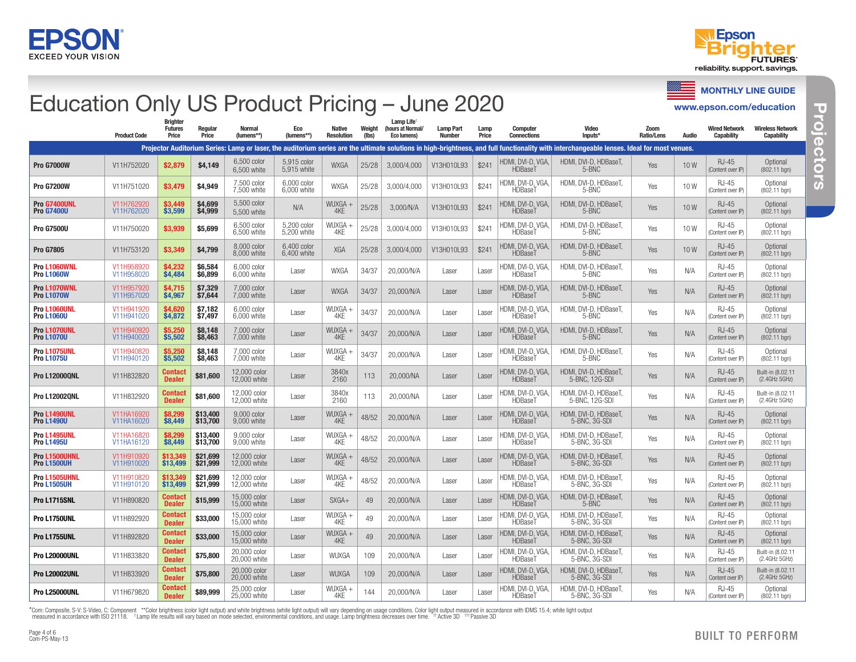



MONTHLY LINE GUIDE

www.epson.com/education

### Education Only US Product Pricing – June 2020

Product Code **Brighter** Futures Price Regular Price Normal (lumens\*\*) Eco (lumens\*\*) Native Resolution Weight (lbs) Lamp Life<sup>\*</sup> (hours at Normal/ Eco lumens) Lamp Part Number Lamp Price **Computer Connections** Video Inputs\* Zoom Ratio/Lens Audio Wired Network **Capability** Wireless Network **Capability** Projector Auditorium Series: Lamp or laser, the auditorium series are the ultimate solutions in high-brightness, and full functionality with interchangeable lenses. Ideal for most venues. **Pro G7000W 711H752020 \$2,879 \$4,149** 6,500 color 6,500 white 5,915 color 5,915 white WXGA 25/28 3,000/4,000 V13H010L93 \$241 HDMI, DVI-D, VGA, HDBaseT HDMI, DVI-D, HDBaseT, <br>5-BNC Yes 10 W Content over (Content over IP) Optional (802.11 bgn) **Pro G7200W** V11H751020  $\begin{array}{|c|c|c|c|c|c|c|c|}\n\hline\n\end{array}$  \$4,949  $\begin{array}{|c|c|c|c|c|c|}\n\hline\n7,500 \text{ color} & 7,500 \text{ color} \\
\hline\n\end{array}$ 7,500 white 6,000 color<br>6,000 white  $6,000$  color WXGA 25/28 3,000/4,000 V13H010L93 \$241 HDMI, DVI-D, VGA, HDBaseT HDMI, DVI-D, HDBaseT, <br>5-BNC 7es 10 W Content over (Content over IP) **Optional** (802.11 bgn) Pro G7400UNL Pro G7400U V11H762920 V11H762020 \$3,449<br>\$3,599 \$3,599 \$4,699 \$4,999 5,500 color 5,500 white N/A WUXGA + 4KE 25/28 3,000/N/A V13H010L93 \$241 HDMI, DVI-D, VGA, **HDBaseT** HDMI, DVI-D, HDBaseT, <br>5-BNC Yes 10 W Content over (Content over IP) **Optional** (802.11 bgn) Pro G7500U V11H750020 \$3,939 \$5,699 6,500 color 6,500 white 5,200 color 5,200 white wuxga -<br>4KE 25/28 3,000/4,000 V13H010L93 \$241 HDMI, DVI-D, VGA HDBaseT HDMI, DVI-D, HDBaseT, <br>5-BNC Yes 10 W Content over (Content over IP) **Optional** (802.11 bgn) **Pro G7805** V11H753120 \$3,349 \$4.799 8,000 color 8,000 white 6,400 color<br>6,400 white  $6,400$  color  $\begin{array}{|l|l|l|}\n6,400$  color  $\end{array}$  XGA  $\begin{array}{|l|l|l|}\n25/28 & 3,000/4,000 & \text{V13H010L93} & $241 & \text{HDMI},\text{DVI-D, VGA},\n\end{array}$ HDMI, DVI-D, VGA<br>HDBaseT HDMI, DVI-D, HDBaseT, <br>5-BNC Yes 10 W Content over (Content over IP) **Optional** (802.11 bgn) Pro L1060WNL Pro L1060W V11H958920 V11H958020 \$4,232 \$6,584<br>\$4,484 \$6,899 \$6,899 6,000 color<br>6,000 white 6,000 white Laser WXGA 34/37 20,000/N/A Laser Laser HDMI, DVI-D, VGA, HDBaseT HDMI, DVI-D, HDBaseT, <br>5-BNC Yes N/A Content over (Content over IP) Optional (802.11 bgn) Pro L1070WNL Pro L1070W V11H957920 V11H957020 \$4,715 | \$7,329<br>\$4,967 | \$7,644 7,000 color 7,000 white Laser WXGA 34/37 20,000/N/A Laser Laser HDMI, DVI-D, VGA, **HDBaseT** HDMI, DVI-D, HDBaseT, <br>5-BNC Yes N/A Content over (Content over IP) **Optional**  $(802.11$  bgn) Pro L1060UNL Pro L1060U V11H941920 V11H941020 \$4,620 \$4,872 \$7,182 \$7,497 6,000 color  $6,000$  color Laser WUXGA + |<br>| 12 | 34/37 | 20,000/N/A | Laser | Laser | HDMI, DVI-D, VGA,<br>| 4KE | 34/37 | 20,000/N/A | Laser | Laser | HDMI, DVI-D, VGA, **HDBaseT** HDMI, DVI-D, HDBaseT, <br>5-BNC 7es N/A Content over (Content over IP) **Optional** (802.11 bgn) Pro L1070UNL Pro L1070U V11HQ40Q20 V11H940020 \$5,250 \$5,502 \$8,148 \$8,463 7,000 color 7,000 white Laser WUXGA +  $\frac{4}{4}$   $\frac{4}{\sqrt{5}}$  34/37 20,000/N/A Laser Laser HDMI, DVI-D, VGA **HDBaseT** HDMI, DVI-D, HDBaseT, <br>5-BNC Yes N/A Content over (Content over IP) **Optional** (802.11 bgn) **Pro L1075UNI** Pro L1075U V11H940820 V11H940120 \$5,250 \$5,502 \$8,148 \$8,463 7,000 color 7,000 white Laser WUXGA + |<br>| 12 | 34/37 | 20,000/N/A | Laser | Laser | HDMI, DVI-D, VGA,<br>| 4KE | 34/37 | 20,000/N/A | Laser | Laser | HDMI, DVI-D, VGA, HDBaseT HDMI, DVI-D, HDBaseT, <br>5-BNC Yes N/A Content over (Content over IP) **Optional** (802.11 bgn) Pro L12000QNL V11H832820 Contact Dealer \$81,600 12,000 color 12,000 white Laser 3840x <sup>2160</sup> <sup>113</sup> 20,000/NA Laser Laser HDMI, DVI-D, VGA, **HDBaseT** HDMI, DVI-D, HDBaseT, <br>5-BNC, 12G-SDI Yes N/A Content ove (Content over IP) Built-in (8.02.11 (2.4GHz 5GHz) Pro L12002QNL V11H832920 Contact **Contact \$81,600**  $\begin{array}{c} 12,000 \text{ color} \\ 12,000 \text{ white} \end{array}$  Laser  $\begin{array}{c} 3840x \\ 2160 \end{array}$ 3840x 113 20,000/NA Laser Laser HDMI, DVI-D, VGA,<br>2160 HDBaseT **HDBaseT** HDMI, DVI-D, HDBaseT, <br>5-BNC, 12G-SDI Yes N/A Content ove (Content over IP) Built-in (8.02.11 (2.4GHz 5GHz) Pro L1490UNL Pro L1490U **V11HA16920** V11HA16020 \$8,299<br>\$8,449 \$8,449 \$13,400 \$13,700 9,000 color 9,000 color Laser WUXGA -<br>9,000 white Laser 4KE 4KE 48/52 20,000/N/A Laser Laser HDMI, DVI-D, VGA, HDBaseT HDMI, DVI-D, HDBaseT, <br>5-BNC, 3G-SDI Yes N/A Content over (Content over IP) **Optional** (802.11 bgn) **Pro L1495UNL** Pro L1495U V11HA16820 V11HA16120 \$8,299<br>\$8,449 \$8,449 \$13,400 \$13,700 9,000 color 9,000 color Laser WUXGA + Reserved MUXGA + 9,000 white 4KE 48/52 20,000/N/A Laser Laser HDMI, DVI-D, VGA, **HDBaseT** HDMI, DVI-D, HDBaseT, VII, DVI-D, HDBaseT, <br>5-BNC, 3G-SDI Yes N/A Content over (Content over IP) Optional (802.11 bgn) Pro L1500UHNL Pro L1500UH V11H910920 V11H910020 \$13,349<br>\$13,499 \$13,499 \$21,699 \$21,999 12,000 color 12,000 color Laser WUXGA -<br>12.000 white Laser 4KE 4KE 48/52 20,000/N/A Laser Laser HDMI, DVI-D, VGA, **HDBaseT** HDMI, DVI-D, HDBaseT, <br>5-BNC, 3G-SDI Yes N/A Content over (Content over IP) Optional (802.11 bgn) Pro L1505UHNL Pro L1505UH V11H910820 V11H910120 \$13,349<br>\$13.499 \$13,499 \$21,699 \$21,999 12,000 color  $12,000$  color Laser WUXGA +  $12,000$  white Laser 4KE  $48/52$  20,000/N/A Laser Laser HDMI, DVI-D, VGA HDBaseT HDMI, DVI-D, HDBaseT, <br>5-BNC, 3G-SDI Yes N/A Content over (Content over IP) **Optional** (802.11 bgn) Pro L1715SNL V11H890820 Contact  $$15,999$   $15,000$  color 15,000 color Laser SXGA+ 49 20,000/N/A Laser Laser HDMI, DVI-D, VGA, SXGA+ 49 20,000/N/A Laser Laser HDMI, DVI-D, VGA, **HDBaseT** HDMI, DVI-D, HDBaseT, <br>5-BNC Yes N/A Content over (Content over IP) Optional (802.11 bgn) Pro L1750UNL V11H892920 Contact **Contact** \$33,000  $\begin{array}{c} 15,000 \text{ color} \\ 15,000 \text{ white} \end{array}$  Laser WUXGA +  $\begin{array}{c} 4 \text{WUXGA +} \\ 4 \text{KE} \end{array}$ |<br>| 14KE | 49 | 20,000/N/A | Laser | Laser | HDMI, DVI-D, VGA,<br>| 4KE | 49 | 20,000/N/A | Laser | Laser | HDBaseT **HDBaseT** HDMI, DVI-D, HDBaseT, <br>5-BNC, 3G-SDI Yes N/A Content over (Content over IP) **Optional** (802.11 bgn) Pro L1755UNL V11H892820 Contact **Contact \$33,000** 15,000 color Laser WUXGA +<br>**Dealer** \$33,000 15,000 white Laser 4KE  $\frac{4}{4}$ WUXGA + 49 20,000/N/A Laser Laser HDMI, DVI-D, VGA **HDBaseT** HDMI, DVI-D, HDBaseT, <br>5-BNC, 3G-SDI Yes N/A Content over (Content over IP) **Optional** (802.11 bgn) Pro L20000UNL V11H833820 Contact  $$75,800$   $20,000$  color<br> $20,000$  white 20,000 color Laser | WUXGA | 109 | 20,000/N/A | Laser | Laser | HDMI, DVI-D, VGA,<br>20,000 white | Laser | WUXGA | 109 | 20,000/N/A | Laser | Laser | HDBaseT HDBaseT HDMI, DVI-D, HDBaseT, <br>5-BNC, 3G-SDI Yes N/A Content over (Content over IP) Built-in (8.02.11 (2.4GHz 5GHz) Pro L20002UNL V11H833920 Contact  $$75,800$   $\Big| \begin{array}{c} 20,000 \text{ color} \\ 20,000 \text{ white} \end{array}$ 20,000 white Laser WUXGA <sup>109</sup> 20,000/N/A Laser Laser HDMI, DVI-D, VGA, HDBaseT HDMI, DVI-D, HDBaseT, <br>5-BNC, 3G-SDI Yes N/A Content ove Content over IP) Built-in (8.02.11 (2.4GHz 5GHz) Pro L25000UNL V11H679820 Contact **Contact** \$89,999  $\begin{array}{c} 25,000 \text{ color} \\ 25,000 \text{ white} \end{array}$  Laser WUXGA + |<br>| 144 | 20,000/N/A | Laser | Laser | HDMI, DVI-D, VGA,<br>| HDBaseT HDBaseT HDMI, DVI-D, HDBaseT, VII, DVI-D, HDBaseT, <br>5-BNC, 3G-SDI Yes N/A Content ove (Content over IP) **Optional** (802.11 bgn)

\*Com: Composite, S-V: S-Video, C: Component \*\*Color brightness (color light output) and white brightness (white light output) will vary depending on usage conditions. Color light output measured in accordance with IDMS 15. measured in accordance with ISO 21118. <sup>+</sup>Lamp life results will vary based on mode selected, environmental conditions, and usage. Lamp brightness decreases over time. <sup>++</sup>Active 3D <sup>++++</sup> Passive 3D

**Projectors** HU, 2 **Projectors**  $\mathbb{C}$ G ā  $\boldsymbol{\omega}$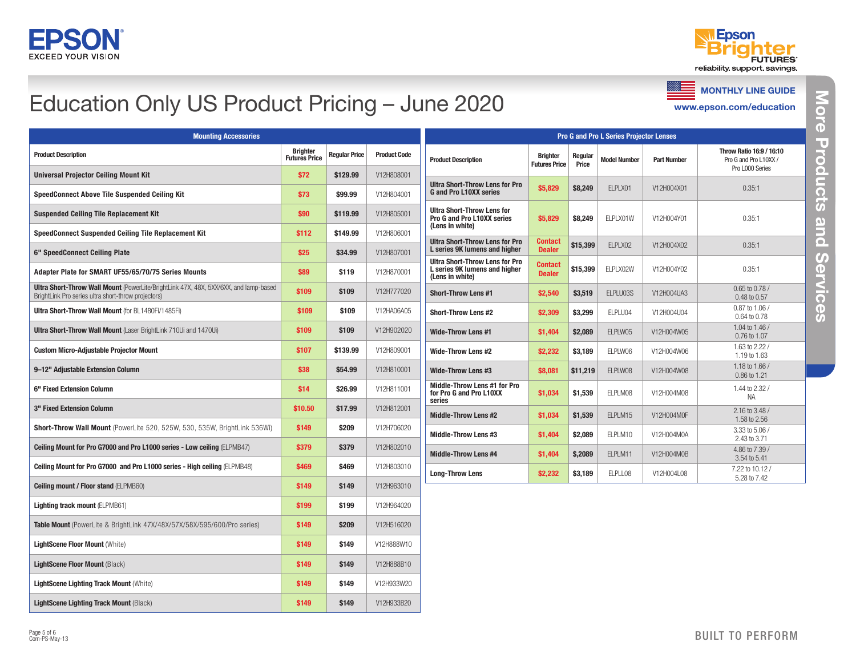



# Education Only US Product Pricing – June 2020

**SSEE** MONTHLY LINE GUIDE

www.epson.com/education

|                                                                                                                                                    | <b>Pro G and Pro L Series Projector Lenses</b> |                      |                     |                                                                                           |                                         |                  |                     |                    |                                                                      |
|----------------------------------------------------------------------------------------------------------------------------------------------------|------------------------------------------------|----------------------|---------------------|-------------------------------------------------------------------------------------------|-----------------------------------------|------------------|---------------------|--------------------|----------------------------------------------------------------------|
| <b>Mounting Accessories</b>                                                                                                                        |                                                |                      |                     |                                                                                           |                                         |                  |                     |                    |                                                                      |
| <b>Product Description</b>                                                                                                                         | <b>Brighter</b><br><b>Futures Price</b>        | <b>Regular Price</b> | <b>Product Code</b> | <b>Product Description</b>                                                                | <b>Brighter</b><br><b>Futures Price</b> | Regular<br>Price | <b>Model Number</b> | <b>Part Number</b> | Throw Ratio 16:9 / 16:10<br>Pro G and Pro L10XX /<br>Pro L000 Series |
| <b>Universal Projector Ceiling Mount Kit</b>                                                                                                       | \$72                                           | \$129.99             | V12H808001          | <b>Ultra Short-Throw Lens for Pro</b>                                                     |                                         |                  |                     |                    |                                                                      |
| <b>SpeedConnect Above Tile Suspended Ceiling Kit</b>                                                                                               | \$73                                           | \$99.99              | V12H804001          | <b>G</b> and Pro L10XX series                                                             | \$5,829                                 | \$8,249          | ELPLX01             | V12H004X01         | 0.35:1                                                               |
| <b>Suspended Ceiling Tile Replacement Kit</b>                                                                                                      | \$90                                           | \$119.99             | V12H805001          | <b>Ultra Short-Throw Lens for</b><br><b>Pro G and Pro L10XX series</b><br>(Lens in white) | \$5,829                                 | \$8,249          | ELPLX01W            | V12H004Y01         | 0.35:1                                                               |
| SpeedConnect Suspended Ceiling Tile Replacement Kit                                                                                                | \$112                                          | \$149.99             | V12H806001          | <b>Ultra Short-Throw Lens for Pro</b>                                                     | <b>Contact</b>                          |                  |                     |                    |                                                                      |
| 6" SpeedConnect Ceiling Plate                                                                                                                      | \$25                                           | \$34.99              | V12H807001          | L series 9K lumens and higher                                                             | <b>Dealer</b>                           | \$15,399         | ELPLX02             | V12H004X02         | 0.35:1                                                               |
| Adapter Plate for SMART UF55/65/70/75 Series Mounts                                                                                                | \$89                                           | \$119                | V12H870001          | <b>Ultra Short-Throw Lens for Pro</b><br>L series 9K lumens and higher<br>(Lens in white) | Contact<br><b>Dealer</b>                | \$15,399         | ELPLX02W            | V12H004Y02         | 0.35:1                                                               |
| <b>Ultra Short-Throw Wall Mount</b> (PowerLite/BrightLink 47X, 48X, 5XX/6XX, and lamp-based<br>BrightLink Pro series ultra short-throw projectors) | \$109                                          | \$109                | V12H777020          | <b>Short-Throw Lens #1</b>                                                                | \$2,540                                 | \$3,519          | ELPLU03S            | V12H004UA3         | 0.65 to 0.78 /<br>0.48 to 0.57                                       |
| <b>Ultra Short-Throw Wall Mount (for BL1480Fi/1485Fi)</b>                                                                                          | \$109                                          | \$109                | V12HA06A05          | <b>Short-Throw Lens #2</b>                                                                | \$2,309                                 | \$3,299          | ELPLU04             | V12H004U04         | 0.87 to 1.06 /<br>0.64 to 0.78                                       |
| Ultra Short-Throw Wall Mount (Laser BrightLink 710Ui and 1470Ui)                                                                                   | \$109                                          | \$109                | V12H902020          | <b>Wide-Throw Lens #1</b>                                                                 | \$1,404                                 | \$2,089          | ELPLW05             | V12H004W05         | 1.04 to 1.46 /<br>0.76 to 1.07                                       |
| <b>Custom Micro-Adjustable Projector Mount</b>                                                                                                     | \$107                                          | \$139.99             | V12H809001          | <b>Wide-Throw Lens #2</b>                                                                 | \$2,232                                 | \$3,189          | ELPLW06             | V12H004W06         | 1.63 to 2.22/<br>1.19 to 1.63                                        |
| 9-12" Adjustable Extension Column                                                                                                                  | \$38                                           | \$54.99              | V12H810001          | <b>Wide-Throw Lens #3</b>                                                                 | \$8,081                                 | \$11,219         | ELPLW08             | V12H004W08         | 1.18 to 1.66 /<br>0.86 to 1.21                                       |
| 6" Fixed Extension Column                                                                                                                          | \$14                                           | \$26.99              | V12H811001          | Middle-Throw Lens #1 for Pro<br>for Pro G and Pro L10XX<br>series                         | \$1,034                                 | \$1,539          | ELPLM08             | V12H004M08         | 1.44 to 2.32 /<br><b>NA</b>                                          |
| 3" Fixed Extension Column                                                                                                                          | \$10.50                                        | \$17.99              | V12H812001          | <b>Middle-Throw Lens #2</b>                                                               | \$1,034                                 | \$1,539          | ELPLM15             | V12H004M0F         | 2.16 to 3.48 /<br>1.58 to 2.56                                       |
| Short-Throw Wall Mount (PowerLite 520, 525W, 530, 535W, BrightLink 536Wi)                                                                          | \$149                                          | \$209                | V12H706020          | <b>Middle-Throw Lens #3</b>                                                               | \$1,404                                 | \$2,089          | ELPLM10             | V12H004M0A         | 3.33 to 5.06 /<br>2.43 to 3.71                                       |
| Ceiling Mount for Pro G7000 and Pro L1000 series - Low ceiling (ELPMB47)                                                                           | \$379                                          | \$379                | V12H802010          | <b>Middle-Throw Lens #4</b>                                                               | \$1,404                                 | \$,2089          | ELPLM11             | V12H004M0B         | 4.86 to 7.39 /<br>3.54 to 5.41                                       |
| Ceiling Mount for Pro G7000 and Pro L1000 series - High ceiling (ELPMB48)                                                                          | \$469                                          | \$469                | V12H803010          | <b>Long-Throw Lens</b>                                                                    | \$2,232                                 | \$3,189          | ELPLL08             | V12H004L08         | 7.22 to 10.12 /<br>5.28 to 7.42                                      |
| <b>Ceiling mount / Floor stand (ELPMB60)</b>                                                                                                       | \$149                                          | \$149                | V12H963010          |                                                                                           |                                         |                  |                     |                    |                                                                      |
| <b>Lighting track mount (ELPMB61)</b>                                                                                                              | \$199                                          | \$199                | V12H964020          |                                                                                           |                                         |                  |                     |                    |                                                                      |
| <b>Table Mount</b> (PowerLite & BrightLink 47X/48X/57X/58X/595/600/Pro series)                                                                     | \$149                                          | \$209                | V12H516020          |                                                                                           |                                         |                  |                     |                    |                                                                      |
| <b>LightScene Floor Mount (White)</b>                                                                                                              | \$149                                          | \$149                | V12H888W10          |                                                                                           |                                         |                  |                     |                    |                                                                      |
| <b>LightScene Floor Mount (Black)</b>                                                                                                              | \$149                                          | \$149                | V12H888B10          |                                                                                           |                                         |                  |                     |                    |                                                                      |
| <b>LightScene Lighting Track Mount (White)</b>                                                                                                     | \$149                                          | \$149                | V12H933W20          |                                                                                           |                                         |                  |                     |                    |                                                                      |
| <b>LightScene Lighting Track Mount (Black)</b>                                                                                                     | \$149                                          | \$149                | V12H933B20          |                                                                                           |                                         |                  |                     |                    |                                                                      |